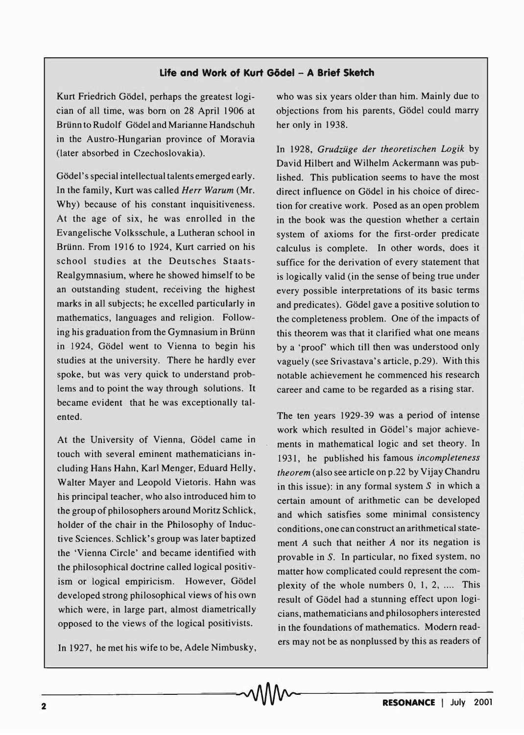## **Life and Work of Kurt Gödel - A Brief Sketch**

Kurt Friedrich Godel, perhaps the greatest logician of all time, was born on 28 April 1906 at Brünn to Rudolf Gödel and Marianne Handschuh in the Austro-Hungarian province of Moravia (later absorbed in Czechoslovakia).

Gödel's special intellectual talents emerged early. In the family, Kurt was called *Herr Warum* (Mr. Why) because of his constant inquisitiveness. At the age of six, he was enrolled in the Evangelische Volksschule, a Lutheran school in Brünn. From 1916 to 1924, Kurt carried on his school studies at the Deutsches Staats-Realgymnasium, where he showed himself to be an outstanding student, receiving the highest marks in all subjects; he excelled particularly in mathematics, languages and religion. Following his graduation from the Gymnasium in Brünn in 1924, Gödel went to Vienna to begin his studies at the university. There he hardly ever spoke, but was very quick to understand problems and to point the way through solutions. It became evident that he was exceptionally talented.

At the University of Vienna, Gödel came in touch with several eminent mathematicians including Hans Hahn, Karl Menger, Eduard Helly, Walter Mayer and Leopold Vietoris. Hahn was his principal teacher, who also introduced him to the group of philosophers around Moritz Schlick, holder of the chair in the Philosophy of Inductive Sciences. Schlick's group was later baptized the 'Vienna Circle' and became identified with the philosophical doctrine called logical positivism or logical empiricism. However, Gödel developed strong philosophical views of his own which were, in large part, almost diametrically opposed to the views of the logical positivists.

In 1927, he met his wife to be, Adele Nimbusky,

who was six years older than him. Mainly due to objections from his parents, Godel could marry her only in 1938.

In 1928, *Grudzuge der theoretischen Logik* by David Hilbert and Wilhelm Ackermann was published. This publication seems to have the most direct influence on Godel in his choice of direction for creative work. Posed as an open problem in the book was the question whether a certain system of axioms for the first-order predicate calculus is complete. In other words, does it suffice for the derivation of every statement that is logically valid (in the sense of being true under every possible interpretations of its basic terms and predicates). Gödel gave a positive solution to the completeness problem. One of the impacts of this theorem was that it clarified what one means by a 'proof' which till then was understood only vaguely (see Srivastava's article, p.29). With this notable achievement he commenced his research career and came to be regarded as a rising star.

The ten years 1929-39 was a period of intense work which resulted in Gödel's major achievements in mathematical logic and set theory. In 1931, he published his famous *incompleteness theorem* (also see article on p.22 by Vijay Chandru in this issue): in any formal system  $S$  in which a certain amount of arithmetic can be developed and which satisfies some minimal consistency conditions, one can construct an arithmetical statement A such that neither A nor its negation is provable in S. In particular, no fixed system, no matter how complicated could represent the complexity of the whole numbers  $0, 1, 2, \ldots$  This result of Godel had a stunning effect upon logicians, mathematicians and philosophers interested in the foundations of mathematics. Modern readers may not be as nonplussed by this as readers of